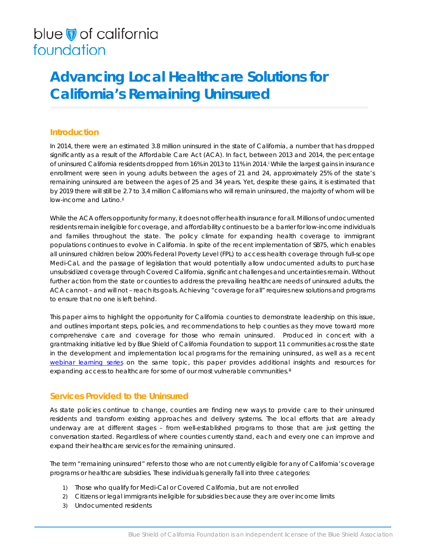# blue of california foundation

# **Advancing Local Healthcare Solutions for California's Remaining Uninsured**

# **Introduction**

In 2014, there were an estimated 3.8 million uninsured in the state of California, a number that has dropped significantly as a result of the Affordable Care Act (ACA). In fact, between 2013 and 2014, the percentage of uninsured California residents dropped from 16% in 2013 to 11% in 2014.[i](#page-8-0) While the largest gains in insurance enrollment were seen in young adults between the ages of 21 and 24, approximately 25% of the state's remaining uninsured are between the ages of 25 and 34 years. Yet, despite these gains, it is estimated that by 2019 there will still be 2.7 to 3.4 million Californians who will remain uninsured, the majority of whom will be low-income and Latino.<sup>[ii](#page-8-1)</sup>

While the ACA offers opportunity for many, it does not offer health insurance for all. Millions of undocumented residents remain ineligible for coverage, and affordability continues to be a barrier for low-income individuals and families throughout the state. The policy climate for expanding health coverage to immigrant populations continues to evolve in California. In spite of the recent implementation of SB75, which enables all uninsured children below 200% Federal Poverty Level (FPL) to access health coverage through full-scope Medi-Cal, and the passage of legislation that would potentially allow undocumented adults to purchase unsubsidized coverage through Covered California, significant challenges and uncertainties remain. Without further action from the state or counties to address the prevailing healthcare needs of uninsured adults, the ACA cannot – and will not – reach its goals. Achieving "coverage for all" requires new solutions and programs to ensure that no one is left behind.

This paper aims to highlight the opportunity for California counties to demonstrate leadership on this issue, and outlines important steps, policies, and recommendations to help counties as they move toward more comprehensive care and coverage for those who remain uninsured. Produced in concert with a grantmaking initiative led by Blue Shield of California Foundation to support 11 communities across the state in the development and implementation local programs for the remaining uninsured, as well as a recent [webinar learning series](http://www.blueshieldcafoundation.org/addressing-healthcare-needs-uninsured-californians) on the same topic, this paper provides additional insights and resources for expanding access to healthcare for some of our most vulnerable communities.<sup>[iii](#page-8-2)</sup>

## **Services Provided to the Uninsured**

As state policies continue to change, counties are finding new ways to provide care to their uninsured residents and transform existing approaches and delivery systems. The local efforts that are already underway are at different stages – from well-established programs to those that are just getting the conversation started. Regardless of where counties currently stand, each and every one can improve and expand their healthcare services for the remaining uninsured.

The term "remaining uninsured" refers to those who are not currently eligible for any of California's coverage programs or healthcare subsidies. These individuals generally fall into three categories:

- 1) Those who qualify for Medi-Cal or Covered California, but are not enrolled
- 2) Citizens or legal immigrants ineligible for subsidies because they are over income limits
- 3) Undocumented residents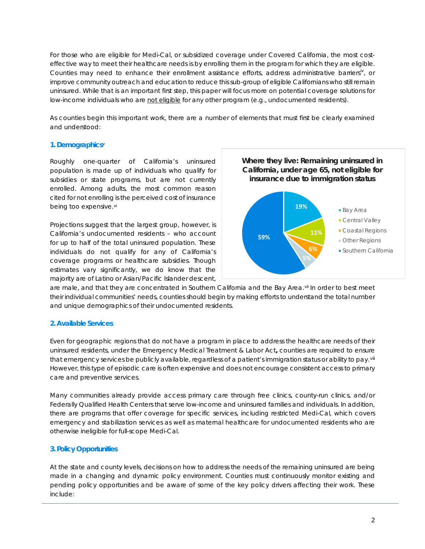For those who are eligible for Medi-Cal, or subsidized coverage under Covered California, the most costeffective way to meet their healthcare needs is by enrolling them in the program for which they are eligible. Counties may need to enhance their enrollment assistance efforts, address administrat[iv](#page-8-3)e barriers<sup>iv</sup>, or improve community outreach and education to reduce this sub-group of eligible Californians who still remain uninsured. While that is an important first step, this paper will focus more on potential coverage solutions for low-income individuals who are *not eligible* for any other program (e.g., undocumented residents).

As counties begin this important work, there are a number of elements that must first be clearly examined and understood:

## **1. Demographics**[v](#page-8-4)

Roughly one-quarter of California's uninsured population is made up of individuals who qualify for subsidies or state programs, but are not currently enrolled. Among adults, the most common reason cited for not enrolling is the perceived cost of insurance being too expensive.[vi](#page-9-0)

Projections suggest that the largest group, however, is California's undocumented residents – who account for up to half of the total uninsured population. These individuals do not qualify for any of California's coverage programs or healthcare subsidies. Though estimates vary significantly, we do know that the majority are of Latino or Asian/Pacific Islander descent,



are male, and that they are concentrated in Southern California and the Bay Area.<sup>[vii](#page-9-1)</sup> In order to best meet their individual communities' needs, counties should begin by making efforts to understand the total number and unique demographics of their undocumented residents.

## **2. Available Services**

Even for geographic regions that do not have a program in place to address the healthcare needs of their uninsured residents, under the Emergency Medical Treatment & Labor Act**,** counties are required to ensure that emergency services be publicly available, regardless of a patient's immigration status or ability to pay.[viii](#page-9-2) However, this type of episodic care is often expensive and does not encourage consistent access to primary care and preventive services.

Many communities already provide access primary care through free clinics, county-run clinics, and/or Federally Qualified Health Centers that serve low-income and uninsured families and individuals. In addition, there are programs that offer coverage for specific services, including restricted Medi-Cal, which covers emergency and stabilization services as well as maternal healthcare for undocumented residents who are otherwise ineligible for full-scope Medi-Cal.

## **3. Policy Opportunities**

At the state and county levels, decisions on how to address the needs of the remaining uninsured are being made in a changing and dynamic policy environment. Counties must continuously monitor existing and pending policy opportunities and be aware of some of the key policy drivers affecting their work. These include: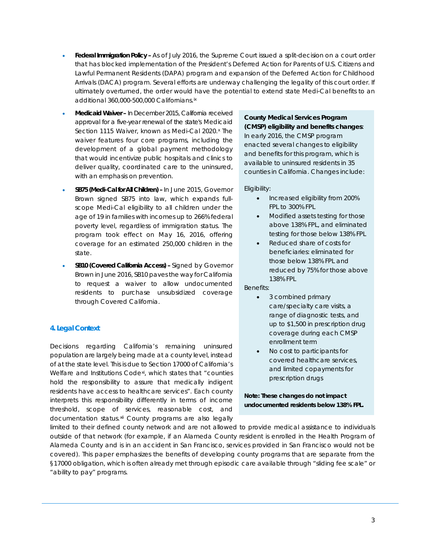- **Federal Immigration Policy –** As of July 2016, the Supreme Court issued a split-decision on a court order that has blocked implementation of the President's Deferred Action for Parents of U.S. Citizens and Lawful Permanent Residents (DAPA) program and expansion of the Deferred Action for Childhood Arrivals (DACA) program. Several efforts are underway challenging the legality of this court order. If ultimately overturned, the order would have the potential to extend state Medi-Cal benefits to an additional 360,000-500,000 Californians.<sup>[ix](#page-9-3)</sup>
- **Medicaid Waiver –** In December 2015, California received approval for a five-year renewal of the state's Medicaid Section 1115 Waiver, known as Medi-Cal 2020.<sup>[x](#page-9-4)</sup> The waiver features four core programs, including the development of a global payment methodology that would incentivize public hospitals and clinics to deliver quality, coordinated care to the uninsured, with an emphasis on prevention.
- **SB75 (Medi-Cal for All Children) –** In June 2015, Governor Brown signed SB75 into law, which expands fullscope Medi-Cal eligibility to all children under the age of 19 in families with incomes up to 266% federal poverty level, regardless of immigration status. The program took effect on May 16, 2016, offering coverage for an estimated 250,000 children in the state.
- **SB10 (Covered California Access) –** Signed by Governor Brown in June 2016, SB10 paves the way for California to request a waiver to allow undocumented residents to purchase unsubsidized coverage through Covered California.

## **4. Legal Context**

Decisions regarding California's remaining uninsured population are largely being made at a county level, instead of at the state level. This is due to Section 17000 of California's Welfare and Institutions Code[xi](#page-9-5), which states that *"counties hold the responsibility to assure that medically indigent residents have access to healthcare services".* Each county interprets this responsibility differently in terms of income threshold, scope of services, reasonable cost, and documentation status.[xii](#page-9-6) County programs are also legally

## **County Medical Services Program (CMSP) eligibility and benefits changes**:

In early 2016, the CMSP program enacted several changes to eligibility and benefits for this program, which is available to uninsured residents in 35 counties in California. Changes include:

Eligibility:

- Increased eligibility from 200% FPL to 300% FPL
- Modified assets testing for those above 138% FPL, and eliminated testing for those below 138% FPL
- Reduced share of costs for beneficiaries: eliminated for those below 138% FPL and reduced by 75% for those above 138% FPL

Benefits:

- 3 combined primary care/specialty care visits, a range of diagnostic tests, and up to \$1,500 in prescription drug coverage during each CMSP enrollment term
- No cost to participants for covered healthcare services, and limited copayments for prescription drugs

## **Note: These changes do not impact undocumented residents below 138% FPL.**

limited to their defined county network and are not allowed to provide medical assistance to individuals outside of that network (for example, if an Alameda County resident is enrolled in the Health Program of Alameda County and is in an accident in San Francisco, services provided in San Francisco would not be covered). This paper emphasizes the benefits of developing county programs that are separate from the §17000 obligation, which is often already met through episodic care available through "sliding fee scale" or "ability to pay" programs.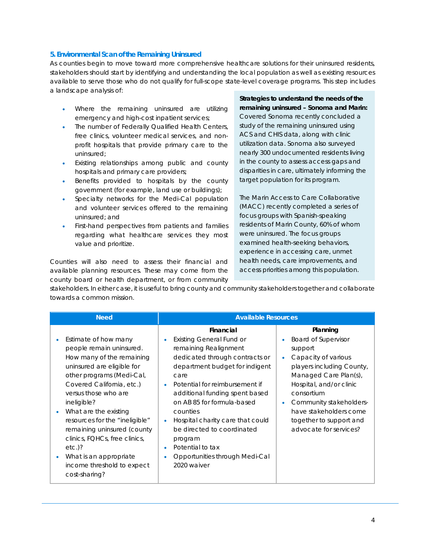## **5. Environmental Scan of the Remaining Uninsured**

As counties begin to move toward more comprehensive healthcare solutions for their uninsured residents, stakeholders should start by identifying and understanding the local population as well as existing resources available to serve those who do not qualify for full-scope state-level coverage programs. This step includes a landscape analysis of:

- Where the remaining uninsured are utilizing emergency and high-cost inpatient services;
- The number of Federally Qualified Health Centers, free clinics, volunteer medical services, and nonprofit hospitals that provide primary care to the uninsured;
- Existing relationships among public and county hospitals and primary care providers;
- Benefits provided to hospitals by the county government (for example, land use or buildings);
- Specialty networks for the Medi-Cal population and volunteer services offered to the remaining uninsured; and
- First-hand perspectives from patients and families regarding what healthcare services they most value and prioritize.

Counties will also need to assess their financial and available planning resources. These may come from the county board or health department, or from community **Strategies to understand the needs of the remaining uninsured – Sonoma and Marin:** Covered Sonoma recently concluded a study of the remaining uninsured using ACS and CHIS data, along with clinic utilization data. Sonoma also surveyed nearly 300 undocumented residents living in the county to assess access gaps and disparities in care, ultimately informing the target population for its program.

The Marin Access to Care Collaborative (MACC) recently completed a series of focus groups with Spanish-speaking residents of Marin County, 60% of whom were uninsured. The focus groups examined health-seeking behaviors, experience in accessing care, unmet health needs, care improvements, and access priorities among this population.

stakeholders. In either case, it is useful to bring county and community stakeholders together and collaborate towards a common mission.

| <b>Need</b>                                                                                                                                                                                                                                                                                                                                                                                                                   | <b>Available Resources</b>                                                                                                                                                                                                                                                                                                                                                                                                                               |                                                                                                                                                                                                                                                                                   |
|-------------------------------------------------------------------------------------------------------------------------------------------------------------------------------------------------------------------------------------------------------------------------------------------------------------------------------------------------------------------------------------------------------------------------------|----------------------------------------------------------------------------------------------------------------------------------------------------------------------------------------------------------------------------------------------------------------------------------------------------------------------------------------------------------------------------------------------------------------------------------------------------------|-----------------------------------------------------------------------------------------------------------------------------------------------------------------------------------------------------------------------------------------------------------------------------------|
| Estimate of how many<br>people remain uninsured.<br>How many of the remaining<br>uninsured are eligible for<br>other programs (Medi-Cal,<br>Covered California, etc.)<br>versus those who are<br>ineligible?<br>What are the existing<br>resources for the "ineligible"<br>remaining uninsured (county<br>clinics, FQHCs, free clinics,<br>$etc.$ )?<br>What is an appropriate<br>income threshold to expect<br>cost-sharing? | Financial<br><b>Existing General Fund or</b><br>$\bullet$<br>remaining Realignment<br>dedicated through contracts or<br>department budget for indigent<br>care<br>Potential for reimbursement if<br>additional funding spent based<br>on AB 85 for formula-based<br>counties<br>Hospital charity care that could<br>$\bullet$<br>be directed to coordinated<br>program<br>Potential to tax<br>$\bullet$<br>Opportunities through Medi-Cal<br>2020 waiver | Planning<br><b>Board of Supervisor</b><br>support<br>Capacity of various<br>players including County,<br>Managed Care Plan(s),<br>Hospital, and/or clinic<br>consortium<br>Community stakeholders-<br>have stakeholders come<br>together to support and<br>advocate for services? |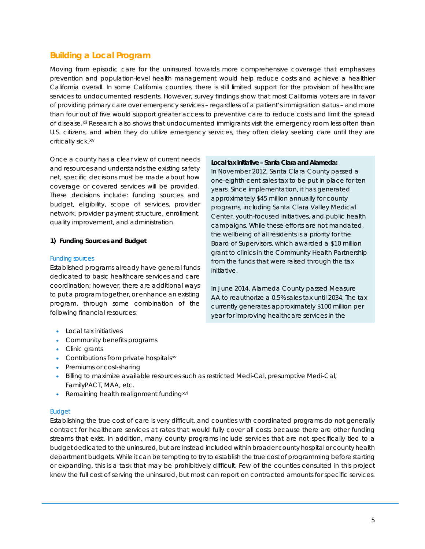# **Building a Local Program**

Moving from episodic care for the uninsured towards more comprehensive coverage that emphasizes prevention and population-level health management would help reduce costs and achieve a healthier California overall. In some California counties, there is still limited support for the provision of healthcare services to undocumented residents. However, survey findings show that most California voters are in favor of providing primary care over emergency services – regardless of a patient's immigration status – and more than four out of five would support greater access to preventive care to reduce costs and limit the spread of disease. [xiii](#page-9-7) Research also shows that undocumented immigrants visit the emergency room less often than U.S. citizens, and when they do utilize emergency services, they often delay seeking care until they are critically sick.[xiv](#page-9-8)

Once a county has a clear view of current needs and resources and understands the existing safety net, specific decisions must be made about how coverage or covered services will be provided. These decisions include: funding sources and budget, eligibility, scope of services, provider network, provider payment structure, enrollment, quality improvement, and administration.

## **1) Funding Sources and Budget**

## Funding sources

Established programs already have general funds dedicated to basic healthcare services and care coordination; however, there are additional ways to put a program together, or enhance an existing program, through some combination of the following financial resources:

- Local tax initiatives
- Community benefits programs
- Clinic grants
- Contributions from private hospitals<sup>[xv](#page-9-9)</sup>
- Premiums or cost-sharing
- Billing to maximize available resources such as restricted Medi-Cal, presumptive Medi-Cal, FamilyPACT, MAA, etc.
- Remaining health realignment funding<sup>[xvi](#page-9-10)</sup>

## Budget

Establishing the true cost of care is very difficult, and counties with coordinated programs do not generally contract for healthcare services at rates that would fully cover all costs because there are other funding streams that exist. In addition, many county programs include services that are not specifically tied to a budget dedicated to the uninsured, but are instead included within broader county hospital or county health department budgets. While it can be tempting to try to establish the true cost of programming before starting or expanding, this is a task that may be prohibitively difficult. Few of the counties consulted in this project knew the full cost of serving the uninsured, but most can report on contracted amounts for specific services.

#### **Local tax initiative – Santa Clara and Alameda:**

In November 2012, Santa Clara County passed a one-eighth-cent sales tax to be put in place for ten years. Since implementation, it has generated approximately \$45 million annually for county programs, including Santa Clara Valley Medical Center, youth-focused initiatives, and public health campaigns. While these efforts are not mandated, the wellbeing of all residents is a priority for the Board of Supervisors, which awarded a \$10 million grant to clinics in the Community Health Partnership from the funds that were raised through the tax initiative.

In June 2014, Alameda County passed Measure AA to reauthorize a 0.5% sales tax until 2034. The tax currently generates approximately \$100 million per year for improving healthcare services in the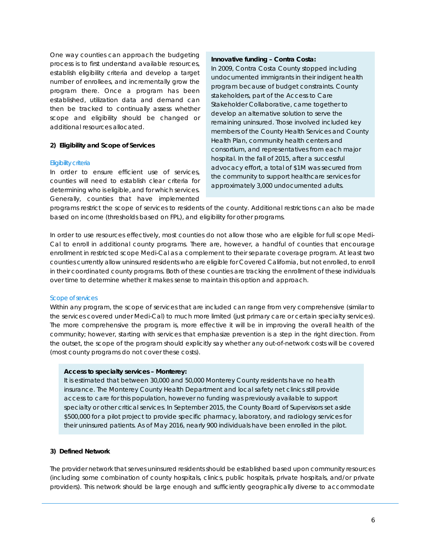One way counties can approach the budgeting process is to first understand available resources, establish eligibility criteria and develop a target number of enrollees, and incrementally grow the program there. Once a program has been established, utilization data and demand can then be tracked to continually assess whether scope and eligibility should be changed or additional resources allocated.

### **2) Eligibility and Scope of Services**

#### Eligibility criteria

In order to ensure efficient use of services, counties will need to establish clear criteria for determining who is eligible, and for which services. Generally, counties that have implemented

#### **Innovative funding – Contra Costa:**

In 2009, Contra Costa County stopped including undocumented immigrants in their indigent health program because of budget constraints. County stakeholders, part of the Access to Care Stakeholder Collaborative, came together to develop an alternative solution to serve the remaining uninsured. Those involved included key members of the County Health Services and County Health Plan, community health centers and consortium, and representatives from each major hospital. In the fall of 2015, after a successful advocacy effort, a total of \$1M was secured from the community to support healthcare services for approximately 3,000 undocumented adults.

programs restrict the scope of services to residents of the county. Additional restrictions can also be made based on income (thresholds based on FPL), and eligibility for other programs.

In order to use resources effectively, most counties do not allow those who are eligible for full scope Medi-Cal to enroll in additional county programs. There are, however, a handful of counties that encourage enrollment in restricted scope Medi-Cal as a complement to their separate coverage program. At least two counties currently allow uninsured residents who are eligible for Covered California, but not enrolled, to enroll in their coordinated county programs. Both of these counties are tracking the enrollment of these individuals over time to determine whether it makes sense to maintain this option and approach.

#### Scope of services

Within any program, the scope of services that are included can range from very comprehensive (similar to the services covered under Medi-Cal) to much more limited (just primary care or certain specialty services). The more comprehensive the program is, more effective it will be in improving the overall health of the community; however, starting with services that emphasize prevention is a step in the right direction. From the outset, the scope of the program should explicitly say whether any out-of-network costs will be covered (most county programs do not cover these costs).

#### **Access to specialty services – Monterey:**

It is estimated that between 30,000 and 50,000 Monterey County residents have no health insurance. The Monterey County Health Department and local safety net clinics still provide access to care for this population, however no funding was previously available to support specialty or other critical services. In September 2015, the County Board of Supervisors set aside \$500,000 for a pilot project to provide specific pharmacy, laboratory, and radiology services for their uninsured patients. As of May 2016, nearly 900 individuals have been enrolled in the pilot.

## **3) Defined Network**

The provider network that serves uninsured residents should be established based upon community resources (including some combination of county hospitals, clinics, public hospitals, private hospitals, and/or private providers). This network should be large enough and sufficiently geographically diverse to accommodate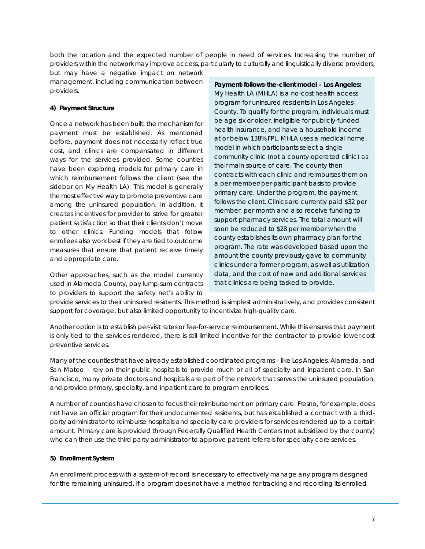both the location and the expected number of people in need of services. Increasing the number of providers within the network may improve access, particularly to culturally and linguistically diverse providers,

but may have a negative impact on network management, including communication between providers.

## **4) Payment Structure**

Once a network has been built, the mechanism for payment must be established. As mentioned before, payment does not necessarily reflect true cost, and clinics are compensated in different ways for the services provided. Some counties have been exploring models for primary care in which reimbursement follows the client (see the sidebar on My Health LA). This model is generally the most effective way to promote preventive care among the uninsured population. In addition, it creates incentives for provider to strive for greater patient satisfaction so that their clients don't move to other clinics. Funding models that follow enrollees also work best if they are tied to outcome measures that ensure that patient receive timely and appropriate care.

Other approaches, such as the model currently used in Alameda County, pay lump-sum contracts to providers to support the safety net's ability to

**Payment-follows-the-client model – Los Angeles:** My Health LA (MHLA) is a no-cost health access program for uninsured residents in Los Angeles County. To qualify for the program, individuals must be age six or older, ineligible for publicly-funded health insurance, and have a household income at or below 138% FPL. MHLA uses a medical home model in which participants select a single community clinic (not a county-operated clinic) as their main source of care. The county then contracts with each clinic and reimburses them on a per-member/per-participant basis to provide primary care. Under the program, the payment follows the client. Clinics are currently paid \$32 per member, per month and also receive funding to support pharmacy services. The total amount will soon be reduced to \$28 per member when the county establishes its own pharmacy plan for the program. The rate was developed based upon the amount the county previously gave to community clinics under a former program, as well as utilization data, and the cost of new and additional services that clinics are being tasked to provide.

provide services to their uninsured residents. This method is simplest administratively, and provides consistent support for coverage, but also limited opportunity to incentivize high-quality care.

Another option is to establish per-visit rates or fee-for-service reimbursement. While this ensures that payment is only tied to the services rendered, there is still limited incentive for the contractor to provide lower-cost preventive services.

Many of the counties that have already established coordinated programs – like Los Angeles, Alameda, and San Mateo – rely on their public hospitals to provide much or all of specialty and inpatient care. In San Francisco, many private doctors and hospitals are part of the network that serves the uninsured population, and provide primary, specialty, and inpatient care to program enrollees.

A number of counties have chosen to focus their reimbursement on primary care. Fresno, for example, does not have an official program for their undocumented residents, but has established a contract with a thirdparty administrator to reimburse hospitals and specialty care providers for services rendered up to a certain amount. Primary care is provided through Federally Qualified Health Centers (not subsidized by the county) who can then use the third party administrator to approve patient referrals for specialty care services.

## **5) Enrollment System**

An enrollment process with a system-of-record is necessary to effectively manage any program designed for the remaining uninsured. If a program does not have a method for tracking and recording its enrolled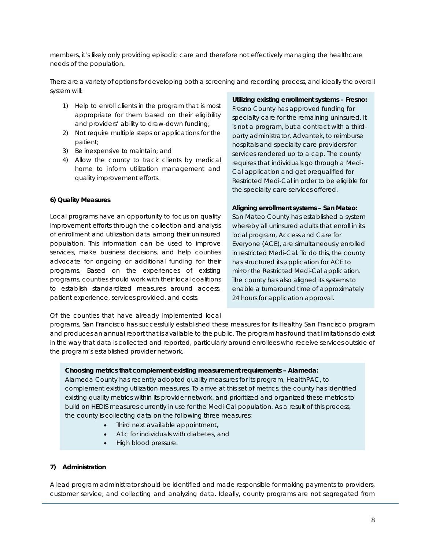members, it's likely only providing episodic care and therefore not effectively managing the healthcare needs of the population.

There are a variety of options for developing both a screening and recording process, and ideally the overall system will:

- 1) Help to enroll clients in the program that is most appropriate for them based on their eligibility and providers' ability to draw-down funding;
- 2) Not require multiple steps or applications for the patient;
- 3) Be inexpensive to maintain; and
- 4) Allow the county to track clients by medical home to inform utilization management and quality improvement efforts.

#### **6) Quality Measures**

Local programs have an opportunity to focus on quality improvement efforts through the collection and analysis of enrollment and utilization data among their uninsured population. This information can be used to improve services, make business decisions, and help counties advocate for ongoing or additional funding for their programs. Based on the experiences of existing programs, counties should work with their local coalitions to establish standardized measures around access, patient experience, services provided, and costs.

Of the counties that have already implemented local

## **Utilizing existing enrollment systems – Fresno:**

Fresno County has approved funding for specialty care for the remaining uninsured. It is not a program, but a contract with a thirdparty administrator, Advantek, to reimburse hospitals and specialty care providers for services rendered up to a cap. The county requires that individuals go through a Medi-Cal application and get prequalified for Restricted Medi-Cal in order to be eligible for the specialty care services offered.

#### **Aligning enrollment systems – San Mateo:**

San Mateo County has established a system whereby all uninsured adults that enroll in its local program, Access and Care for Everyone (ACE), are simultaneously enrolled in restricted Medi-Cal. To do this, the county has structured its application for ACE to mirror the Restricted Medi-Cal application. The county has also aligned its systems to enable a turnaround time of approximately 24 hours for application approval.

programs, San Francisco has successfully established these measures for its Healthy San Francisco program and produces an annual report that is available to the public. The program has found that limitations do exist in the way that data is collected and reported, particularly around enrollees who receive services outside of the program's established provider network.

#### **Choosing metrics that complement existing measurement requirements – Alameda:**

Alameda County has recently adopted *quality* measures for its program, HealthPAC, to complement existing utilization measures. To arrive at this set of metrics, the county has identified existing quality metrics within its provider network, and prioritized and organized these metrics to build on HEDIS measures currently in use for the Medi-Cal population. As a result of this process, the county is collecting data on the following three measures:

- Third next available appointment,
- A1c for individuals with diabetes, and
- High blood pressure.

#### **7) Administration**

A lead program administrator should be identified and made responsible for making payments to providers, customer service, and collecting and analyzing data. Ideally, county programs are not segregated from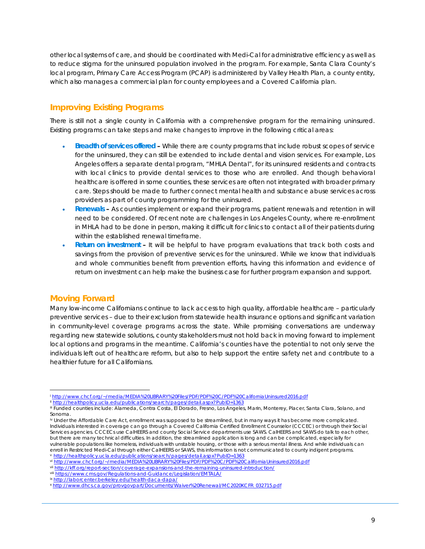other local systems of care, and should be coordinated with Medi-Cal for administrative efficiency as well as to reduce stigma for the uninsured population involved in the program. For example, Santa Clara County's local program, Primary Care Access Program (PCAP) is administered by Valley Health Plan, a county entity, which also manages a commercial plan for county employees and a Covered California plan.

# **Improving Existing Programs**

There is still not a single county in California with a comprehensive program for the remaining uninsured. Existing programs can take steps and make changes to improve in the following critical areas:

- **Breadth of services offered –** While there are county programs that include robust scopes of service for the uninsured, they can still be extended to include dental and vision services. For example, Los Angeles offers a separate dental program, "MHLA Dental", for its uninsured residents and contracts with local clinics to provide dental services to those who are enrolled. And though behavioral healthcare is offered in some counties, these services are often not integrated with broader primary care. Steps should be made to further connect mental health and substance abuse services across providers as part of county programming for the uninsured.
- **Renewals –** As counties implement or expand their programs, patient renewals and retention in will need to be considered. Of recent note are challenges in Los Angeles County, where re-enrollment in MHLA had to be done in person, making it difficult for clinics to contact all of their patients during within the established renewal timeframe.
- **Return on investment –** It will be helpful to have program evaluations that track both costs and savings from the provision of preventive services for the uninsured. While we know that individuals and whole communities benefit from prevention efforts, having this information and evidence of return on investment can help make the business case for further program expansion and support.

## **Moving Forward**

Many low-income Californians continue to lack access to high quality, affordable healthcare – particularly preventive services – due to their exclusion from statewide health insurance options and significant variation in community-level coverage programs across the state. While promising conversations are underway regarding new statewide solutions, county stakeholders must not hold back in moving forward to implement local options and programs in the meantime. California's counties have the potential to not only serve the individuals left out of healthcare reform, but also to help support the entire safety net and contribute to a healthier future for all Californians.

<span id="page-8-4"></span>viii <https://www.cms.gov/Regulations-and-Guidance/Legislation/EMTALA/>

<sup>i</sup> [http://www.chcf.org/~/media/MEDIA%20LIBRARY%20Files/PDF/PDF%20C/PDF%20CaliforniaUninsured2016.pdf](http://www.chcf.org/%7E/media/MEDIA%20LIBRARY%20Files/PDF/PDF%20C/PDF%20CaliforniaUninsured2016.pdf)  $\overline{a}$ 

<span id="page-8-0"></span>ii <http://healthpolicy.ucla.edu/publications/search/pages/detail.aspx?PubID=1363>

iii Funded counties include: Alameda, Contra Costa, El Dorado, Fresno, Los Angeles, Marin, Monterey, Placer, Santa Clara, Solano, and Sonoma.

<span id="page-8-3"></span><span id="page-8-2"></span><span id="page-8-1"></span>iv Under the Affordable Care Act, enrollment was supposed to be streamlined, but in many ways it has become more complicated. Individuals interested in coverage can go through a Covered California Certified Enrollment Counselor (CCCEC) or through their Social Services agencies. CCCECs use CalHEERS and county Social Service departments use SAWS. CalHEERS and SAWS do talk to each other, but there are many technical difficulties. In addition, the streamlined application is long and can be complicated, especially for vulnerable populations like homeless, individuals with unstable housing, or those with a serious mental illness. And while individuals can enroll in Restricted Medi-Cal through either CalHEERS or SAWS, this information is not communicated to county indigent programs. <sup>v</sup> <http://healthpolicy.ucla.edu/publications/search/pages/detail.aspx?PubID=1363>

vi [http://www.chcf.org/~/media/MEDIA%20LIBRARY%20Files/PDF/PDF%20C/PDF%20CaliforniaUninsured2016.pdf](http://www.chcf.org/%7E/media/MEDIA%20LIBRARY%20Files/PDF/PDF%20C/PDF%20CaliforniaUninsured2016.pdf)

vii http://kff.org/report-section/coverage-expansions-and-the-remaining-uninsured-introduction/

ix <http://laborcenter.berkeley.edu/health-daca-dapa/>

<sup>x</sup> [http://www.dhcs.ca.gov/provgovpart/Documents/Waiver%20Renewal/MC2020KCFR\\_032715.pdf](http://www.dhcs.ca.gov/provgovpart/Documents/Waiver%20Renewal/MC2020KCFR_032715.pdf)